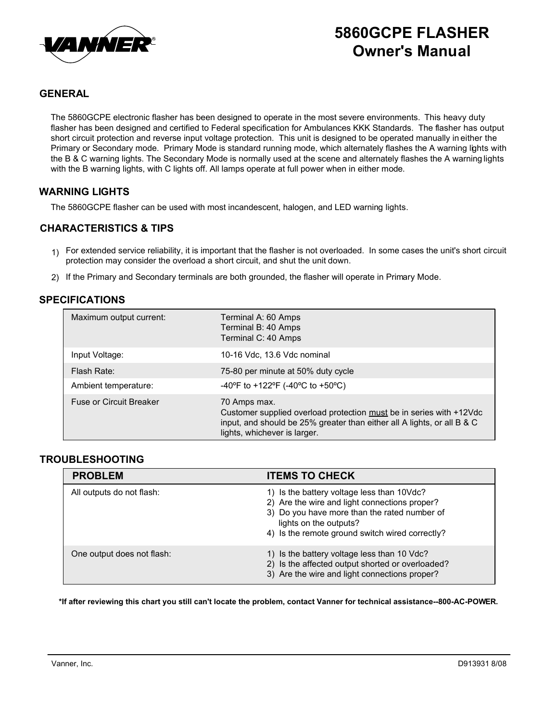

# 5860GCPE FLASHER Owner's Manual

# GENERAL

The 5860GCPE electronic flasher has been designed to operate in the most severe environments. This heavy duty flasher has been designed and certified to Federal specification for Ambulances KKK Standards. The flasher has output short circuit protection and reverse input voltage protection. This unit is designed to be operated manually in either the Primary or Secondary mode. Primary Mode is standard running mode, which alternately flashes the A warning lights with the B & C warning lights. The Secondary Mode is normally used at the scene and alternately flashes the A warning lights with the B warning lights, with C lights off. All lamps operate at full power when in either mode.

### WARNING LIGHTS

The 5860GCPE flasher can be used with most incandescent, halogen, and LED warning lights.

## CHARACTERISTICS & TIPS

- $_{1)}$  For extended service reliability, it is important that the flasher is not overloaded. In some cases the unit's short circuit protection may consider the overload a short circuit, and shut the unit down.
- 2) If the Primary and Secondary terminals are both grounded, the flasher will operate in Primary Mode.

### SPECIFICATIONS

| Maximum output current:        | Terminal A: 60 Amps<br>Terminal B: 40 Amps<br>Terminal C: 40 Amps                                                                                                                              |
|--------------------------------|------------------------------------------------------------------------------------------------------------------------------------------------------------------------------------------------|
| Input Voltage:                 | 10-16 Vdc, 13.6 Vdc nominal                                                                                                                                                                    |
| Flash Rate:                    | 75-80 per minute at 50% duty cycle                                                                                                                                                             |
| Ambient temperature:           | -40°F to +122°F (-40°C to +50°C)                                                                                                                                                               |
| <b>Fuse or Circuit Breaker</b> | 70 Amps max.<br>Customer supplied overload protection must be in series with +12Vdc<br>input, and should be 25% greater than either all A lights, or all B & C<br>lights, whichever is larger. |

#### TROUBLESHOOTING

| <b>PROBLEM</b>             | <b>ITEMS TO CHECK</b>                                                                                                                                                                                                    |
|----------------------------|--------------------------------------------------------------------------------------------------------------------------------------------------------------------------------------------------------------------------|
| All outputs do not flash:  | 1) Is the battery voltage less than 10Vdc?<br>2) Are the wire and light connections proper?<br>3) Do you have more than the rated number of<br>lights on the outputs?<br>4) Is the remote ground switch wired correctly? |
| One output does not flash: | 1) Is the battery voltage less than 10 Vdc?<br>2) Is the affected output shorted or overloaded?<br>3) Are the wire and light connections proper?                                                                         |

\*If after reviewing this chart you still can't locate the problem, contact Vanner for technical assistance--800-AC-POWER.